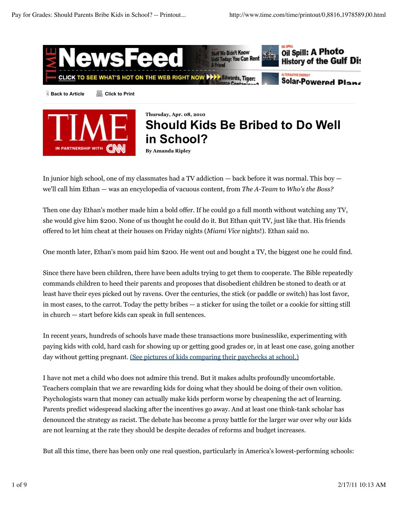



# **Should Kids Be Bribed to Do Well in School?**

**By Amanda Ripley**

In junior high school, one of my classmates had a TV addiction — back before it was normal. This boy we'll call him Ethan — was an encyclopedia of vacuous content, from *The A-Team* to *Who's the Boss?*

Then one day Ethan's mother made him a bold offer. If he could go a full month without watching any TV, she would give him \$200. None of us thought he could do it. But Ethan quit TV, just like that. His friends offered to let him cheat at their houses on Friday nights (*Miami Vice* nights!). Ethan said no.

One month later, Ethan's mom paid him \$200. He went out and bought a TV, the biggest one he could find.

Since there have been children, there have been adults trying to get them to cooperate. The Bible repeatedly commands children to heed their parents and proposes that disobedient children be stoned to death or at least have their eyes picked out by ravens. Over the centuries, the stick (or paddle or switch) has lost favor, in most cases, to the carrot. Today the petty bribes — a sticker for using the toilet or a cookie for sitting still in church — start before kids can speak in full sentences.

In recent years, hundreds of schools have made these transactions more businesslike, experimenting with paying kids with cold, hard cash for showing up or getting good grades or, in at least one case, going another day without getting pregnant. (See pictures of kids comparing their paychecks at school.)

I have not met a child who does not admire this trend. But it makes adults profoundly uncomfortable. Teachers complain that we are rewarding kids for doing what they should be doing of their own volition. Psychologists warn that money can actually make kids perform worse by cheapening the act of learning. Parents predict widespread slacking after the incentives go away. And at least one think-tank scholar has denounced the strategy as racist. The debate has become a proxy battle for the larger war over why our kids are not learning at the rate they should be despite decades of reforms and budget increases.

But all this time, there has been only one real question, particularly in America's lowest-performing schools: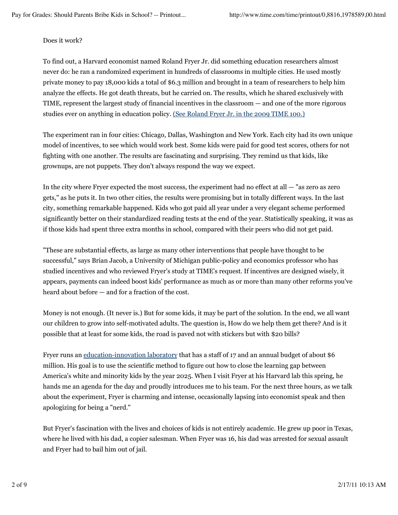#### Does it work?

To find out, a Harvard economist named Roland Fryer Jr. did something education researchers almost never do: he ran a randomized experiment in hundreds of classrooms in multiple cities. He used mostly private money to pay 18,000 kids a total of \$6.3 million and brought in a team of researchers to help him analyze the effects. He got death threats, but he carried on. The results, which he shared exclusively with TIME, represent the largest study of financial incentives in the classroom — and one of the more rigorous studies ever on anything in education policy. (See Roland Fryer Jr. in the 2009 TIME 100.)

The experiment ran in four cities: Chicago, Dallas, Washington and New York. Each city had its own unique model of incentives, to see which would work best. Some kids were paid for good test scores, others for not fighting with one another. The results are fascinating and surprising. They remind us that kids, like grownups, are not puppets. They don't always respond the way we expect.

In the city where Fryer expected the most success, the experiment had no effect at all — "as zero as zero gets," as he puts it. In two other cities, the results were promising but in totally different ways. In the last city, something remarkable happened. Kids who got paid all year under a very elegant scheme performed significantly better on their standardized reading tests at the end of the year. Statistically speaking, it was as if those kids had spent three extra months in school, compared with their peers who did not get paid.

"These are substantial effects, as large as many other interventions that people have thought to be successful," says Brian Jacob, a University of Michigan public-policy and economics professor who has studied incentives and who reviewed Fryer's study at TIME's request. If incentives are designed wisely, it appears, payments can indeed boost kids' performance as much as or more than many other reforms you've heard about before — and for a fraction of the cost.

Money is not enough. (It never is.) But for some kids, it may be part of the solution. In the end, we all want our children to grow into self-motivated adults. The question is, How do we help them get there? And is it possible that at least for some kids, the road is paved not with stickers but with \$20 bills?

Fryer runs an education-innovation laboratory that has a staff of 17 and an annual budget of about \$6 million. His goal is to use the scientific method to figure out how to close the learning gap between America's white and minority kids by the year 2025. When I visit Fryer at his Harvard lab this spring, he hands me an agenda for the day and proudly introduces me to his team. For the next three hours, as we talk about the experiment, Fryer is charming and intense, occasionally lapsing into economist speak and then apologizing for being a "nerd."

But Fryer's fascination with the lives and choices of kids is not entirely academic. He grew up poor in Texas, where he lived with his dad, a copier salesman. When Fryer was 16, his dad was arrested for sexual assault and Fryer had to bail him out of jail.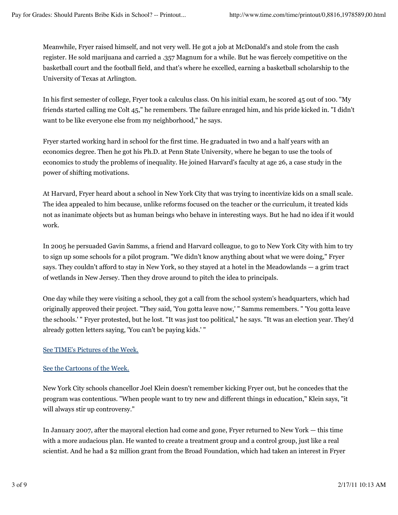Meanwhile, Fryer raised himself, and not very well. He got a job at McDonald's and stole from the cash register. He sold marijuana and carried a .357 Magnum for a while. But he was fiercely competitive on the basketball court and the football field, and that's where he excelled, earning a basketball scholarship to the University of Texas at Arlington.

In his first semester of college, Fryer took a calculus class. On his initial exam, he scored 45 out of 100. "My friends started calling me Colt 45," he remembers. The failure enraged him, and his pride kicked in. "I didn't want to be like everyone else from my neighborhood," he says.

Fryer started working hard in school for the first time. He graduated in two and a half years with an economics degree. Then he got his Ph.D. at Penn State University, where he began to use the tools of economics to study the problems of inequality. He joined Harvard's faculty at age 26, a case study in the power of shifting motivations.

At Harvard, Fryer heard about a school in New York City that was trying to incentivize kids on a small scale. The idea appealed to him because, unlike reforms focused on the teacher or the curriculum, it treated kids not as inanimate objects but as human beings who behave in interesting ways. But he had no idea if it would work.

In 2005 he persuaded Gavin Samms, a friend and Harvard colleague, to go to New York City with him to try to sign up some schools for a pilot program. "We didn't know anything about what we were doing," Fryer says. They couldn't afford to stay in New York, so they stayed at a hotel in the Meadowlands — a grim tract of wetlands in New Jersey. Then they drove around to pitch the idea to principals.

One day while they were visiting a school, they got a call from the school system's headquarters, which had originally approved their project. "They said, 'You gotta leave now,' " Samms remembers. " 'You gotta leave the schools.' " Fryer protested, but he lost. "It was just too political," he says. "It was an election year. They'd already gotten letters saying, 'You can't be paying kids.' "

## See TIME's Pictures of the Week.

## See the Cartoons of the Week.

New York City schools chancellor Joel Klein doesn't remember kicking Fryer out, but he concedes that the program was contentious. "When people want to try new and different things in education," Klein says, "it will always stir up controversy."

In January 2007, after the mayoral election had come and gone, Fryer returned to New York — this time with a more audacious plan. He wanted to create a treatment group and a control group, just like a real scientist. And he had a \$2 million grant from the Broad Foundation, which had taken an interest in Fryer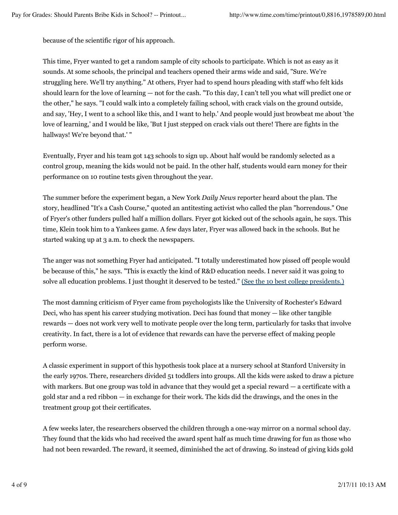because of the scientific rigor of his approach.

This time, Fryer wanted to get a random sample of city schools to participate. Which is not as easy as it sounds. At some schools, the principal and teachers opened their arms wide and said, "Sure. We're struggling here. We'll try anything." At others, Fryer had to spend hours pleading with staff who felt kids should learn for the love of learning — not for the cash. "To this day, I can't tell you what will predict one or the other," he says. "I could walk into a completely failing school, with crack vials on the ground outside, and say, 'Hey, I went to a school like this, and I want to help.' And people would just browbeat me about 'the love of learning,' and I would be like, 'But I just stepped on crack vials out there! There are fights in the hallways! We're beyond that.' "

Eventually, Fryer and his team got 143 schools to sign up. About half would be randomly selected as a control group, meaning the kids would not be paid. In the other half, students would earn money for their performance on 10 routine tests given throughout the year.

The summer before the experiment began, a New York *Daily News* reporter heard about the plan. The story, headlined "It's a Cash Course," quoted an antitesting activist who called the plan "horrendous." One of Fryer's other funders pulled half a million dollars. Fryer got kicked out of the schools again, he says. This time, Klein took him to a Yankees game. A few days later, Fryer was allowed back in the schools. But he started waking up at 3 a.m. to check the newspapers.

The anger was not something Fryer had anticipated. "I totally underestimated how pissed off people would be because of this," he says. "This is exactly the kind of R&D education needs. I never said it was going to solve all education problems. I just thought it deserved to be tested." (See the 10 best college presidents.)

The most damning criticism of Fryer came from psychologists like the University of Rochester's Edward Deci, who has spent his career studying motivation. Deci has found that money — like other tangible rewards — does not work very well to motivate people over the long term, particularly for tasks that involve creativity. In fact, there is a lot of evidence that rewards can have the perverse effect of making people perform worse.

A classic experiment in support of this hypothesis took place at a nursery school at Stanford University in the early 1970s. There, researchers divided 51 toddlers into groups. All the kids were asked to draw a picture with markers. But one group was told in advance that they would get a special reward — a certificate with a gold star and a red ribbon — in exchange for their work. The kids did the drawings, and the ones in the treatment group got their certificates.

A few weeks later, the researchers observed the children through a one-way mirror on a normal school day. They found that the kids who had received the award spent half as much time drawing for fun as those who had not been rewarded. The reward, it seemed, diminished the act of drawing. So instead of giving kids gold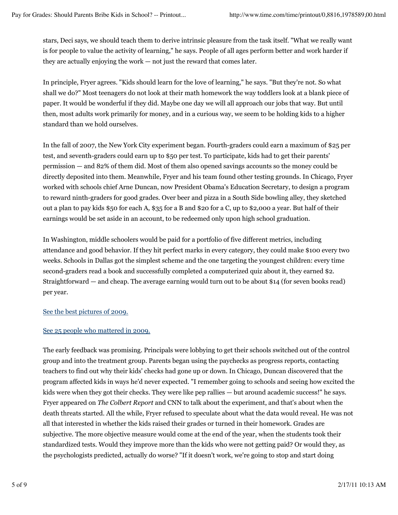stars, Deci says, we should teach them to derive intrinsic pleasure from the task itself. "What we really want is for people to value the activity of learning," he says. People of all ages perform better and work harder if they are actually enjoying the work — not just the reward that comes later.

In principle, Fryer agrees. "Kids should learn for the love of learning," he says. "But they're not. So what shall we do?" Most teenagers do not look at their math homework the way toddlers look at a blank piece of paper. It would be wonderful if they did. Maybe one day we will all approach our jobs that way. But until then, most adults work primarily for money, and in a curious way, we seem to be holding kids to a higher standard than we hold ourselves.

In the fall of 2007, the New York City experiment began. Fourth-graders could earn a maximum of \$25 per test, and seventh-graders could earn up to \$50 per test. To participate, kids had to get their parents' permission — and 82% of them did. Most of them also opened savings accounts so the money could be directly deposited into them. Meanwhile, Fryer and his team found other testing grounds. In Chicago, Fryer worked with schools chief Arne Duncan, now President Obama's Education Secretary, to design a program to reward ninth-graders for good grades. Over beer and pizza in a South Side bowling alley, they sketched out a plan to pay kids \$50 for each A, \$35 for a B and \$20 for a C, up to \$2,000 a year. But half of their earnings would be set aside in an account, to be redeemed only upon high school graduation.

In Washington, middle schoolers would be paid for a portfolio of five different metrics, including attendance and good behavior. If they hit perfect marks in every category, they could make \$100 every two weeks. Schools in Dallas got the simplest scheme and the one targeting the youngest children: every time second-graders read a book and successfully completed a computerized quiz about it, they earned \$2. Straightforward — and cheap. The average earning would turn out to be about \$14 (for seven books read) per year.

#### See the best pictures of 2009.

#### See 25 people who mattered in 2009.

The early feedback was promising. Principals were lobbying to get their schools switched out of the control group and into the treatment group. Parents began using the paychecks as progress reports, contacting teachers to find out why their kids' checks had gone up or down. In Chicago, Duncan discovered that the program affected kids in ways he'd never expected. "I remember going to schools and seeing how excited the kids were when they got their checks. They were like pep rallies — but around academic success!" he says. Fryer appeared on *The Colbert Report* and CNN to talk about the experiment, and that's about when the death threats started. All the while, Fryer refused to speculate about what the data would reveal. He was not all that interested in whether the kids raised their grades or turned in their homework. Grades are subjective. The more objective measure would come at the end of the year, when the students took their standardized tests. Would they improve more than the kids who were not getting paid? Or would they, as the psychologists predicted, actually do worse? "If it doesn't work, we're going to stop and start doing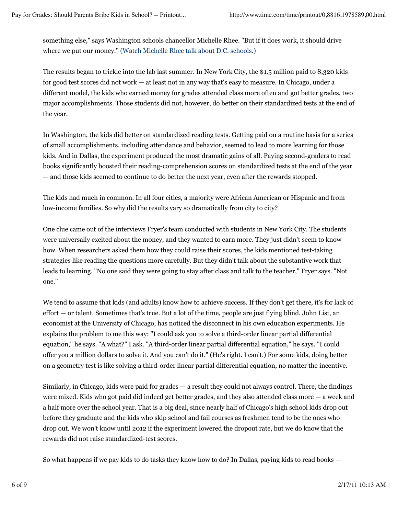something else," says Washington schools chancellor Michelle Rhee. "But if it does work, it should drive where we put our money." (Watch Michelle Rhee talk about D.C. schools.)

The results began to trickle into the lab last summer. In New York City, the \$1.5 million paid to 8,320 kids for good test scores did not work — at least not in any way that's easy to measure. In Chicago, under a different model, the kids who earned money for grades attended class more often and got better grades, two major accomplishments. Those students did not, however, do better on their standardized tests at the end of the year.

In Washington, the kids did better on standardized reading tests. Getting paid on a routine basis for a series of small accomplishments, including attendance and behavior, seemed to lead to more learning for those kids. And in Dallas, the experiment produced the most dramatic gains of all. Paying second-graders to read books significantly boosted their reading-comprehension scores on standardized tests at the end of the year — and those kids seemed to continue to do better the next year, even after the rewards stopped.

The kids had much in common. In all four cities, a majority were African American or Hispanic and from low-income families. So why did the results vary so dramatically from city to city?

One clue came out of the interviews Fryer's team conducted with students in New York City. The students were universally excited about the money, and they wanted to earn more. They just didn't seem to know how. When researchers asked them how they could raise their scores, the kids mentioned test-taking strategies like reading the questions more carefully. But they didn't talk about the substantive work that leads to learning. "No one said they were going to stay after class and talk to the teacher," Fryer says. "Not one."

We tend to assume that kids (and adults) know how to achieve success. If they don't get there, it's for lack of effort — or talent. Sometimes that's true. But a lot of the time, people are just flying blind. John List, an economist at the University of Chicago, has noticed the disconnect in his own education experiments. He explains the problem to me this way: "I could ask you to solve a third-order linear partial differential equation," he says. "A what?" I ask. "A third-order linear partial differential equation," he says. "I could offer you a million dollars to solve it. And you can't do it." (He's right. I can't.) For some kids, doing better on a geometry test is like solving a third-order linear partial differential equation, no matter the incentive.

Similarly, in Chicago, kids were paid for grades — a result they could not always control. There, the findings were mixed. Kids who got paid did indeed get better grades, and they also attended class more — a week and a half more over the school year. That is a big deal, since nearly half of Chicago's high school kids drop out before they graduate and the kids who skip school and fail courses as freshmen tend to be the ones who drop out. We won't know until 2012 if the experiment lowered the dropout rate, but we do know that the rewards did not raise standardized-test scores.

So what happens if we pay kids to do tasks they know how to do? In Dallas, paying kids to read books —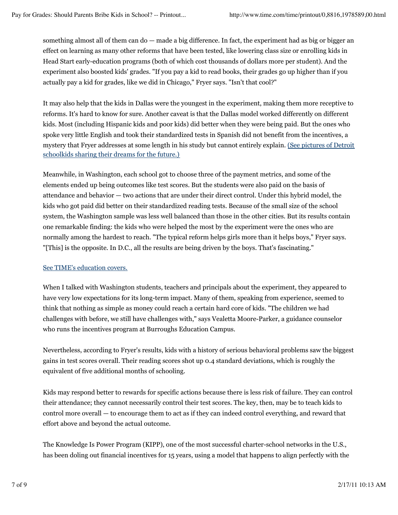something almost all of them can do — made a big difference. In fact, the experiment had as big or bigger an effect on learning as many other reforms that have been tested, like lowering class size or enrolling kids in Head Start early-education programs (both of which cost thousands of dollars more per student). And the experiment also boosted kids' grades. "If you pay a kid to read books, their grades go up higher than if you actually pay a kid for grades, like we did in Chicago," Fryer says. "Isn't that cool?"

It may also help that the kids in Dallas were the youngest in the experiment, making them more receptive to reforms. It's hard to know for sure. Another caveat is that the Dallas model worked differently on different kids. Most (including Hispanic kids and poor kids) did better when they were being paid. But the ones who spoke very little English and took their standardized tests in Spanish did not benefit from the incentives, a mystery that Fryer addresses at some length in his study but cannot entirely explain. (See pictures of Detroit schoolkids sharing their dreams for the future.)

Meanwhile, in Washington, each school got to choose three of the payment metrics, and some of the elements ended up being outcomes like test scores. But the students were also paid on the basis of attendance and behavior — two actions that are under their direct control. Under this hybrid model, the kids who got paid did better on their standardized reading tests. Because of the small size of the school system, the Washington sample was less well balanced than those in the other cities. But its results contain one remarkable finding: the kids who were helped the most by the experiment were the ones who are normally among the hardest to reach. "The typical reform helps girls more than it helps boys," Fryer says. "[This] is the opposite. In D.C., all the results are being driven by the boys. That's fascinating."

## See TIME's education covers.

When I talked with Washington students, teachers and principals about the experiment, they appeared to have very low expectations for its long-term impact. Many of them, speaking from experience, seemed to think that nothing as simple as money could reach a certain hard core of kids. "The children we had challenges with before, we still have challenges with," says Vealetta Moore-Parker, a guidance counselor who runs the incentives program at Burroughs Education Campus.

Nevertheless, according to Fryer's results, kids with a history of serious behavioral problems saw the biggest gains in test scores overall. Their reading scores shot up 0.4 standard deviations, which is roughly the equivalent of five additional months of schooling.

Kids may respond better to rewards for specific actions because there is less risk of failure. They can control their attendance; they cannot necessarily control their test scores. The key, then, may be to teach kids to control more overall — to encourage them to act as if they can indeed control everything, and reward that effort above and beyond the actual outcome.

The Knowledge Is Power Program (KIPP), one of the most successful charter-school networks in the U.S., has been doling out financial incentives for 15 years, using a model that happens to align perfectly with the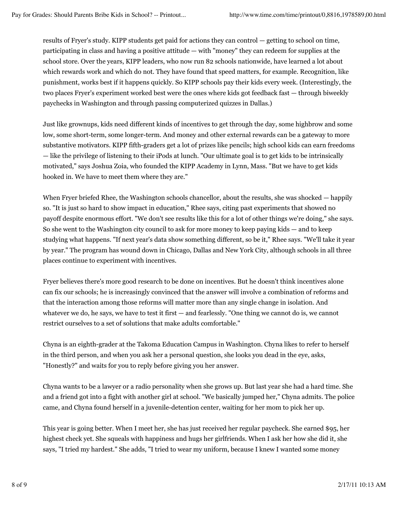results of Fryer's study. KIPP students get paid for actions they can control — getting to school on time, participating in class and having a positive attitude — with "money" they can redeem for supplies at the school store. Over the years, KIPP leaders, who now run 82 schools nationwide, have learned a lot about which rewards work and which do not. They have found that speed matters, for example. Recognition, like punishment, works best if it happens quickly. So KIPP schools pay their kids every week. (Interestingly, the two places Fryer's experiment worked best were the ones where kids got feedback fast — through biweekly paychecks in Washington and through passing computerized quizzes in Dallas.)

Just like grownups, kids need different kinds of incentives to get through the day, some highbrow and some low, some short-term, some longer-term. And money and other external rewards can be a gateway to more substantive motivators. KIPP fifth-graders get a lot of prizes like pencils; high school kids can earn freedoms — like the privilege of listening to their iPods at lunch. "Our ultimate goal is to get kids to be intrinsically motivated," says Joshua Zoia, who founded the KIPP Academy in Lynn, Mass. "But we have to get kids hooked in. We have to meet them where they are."

When Fryer briefed Rhee, the Washington schools chancellor, about the results, she was shocked — happily so. "It is just so hard to show impact in education," Rhee says, citing past experiments that showed no payoff despite enormous effort. "We don't see results like this for a lot of other things we're doing," she says. So she went to the Washington city council to ask for more money to keep paying kids — and to keep studying what happens. "If next year's data show something different, so be it," Rhee says. "We'll take it year by year." The program has wound down in Chicago, Dallas and New York City, although schools in all three places continue to experiment with incentives.

Fryer believes there's more good research to be done on incentives. But he doesn't think incentives alone can fix our schools; he is increasingly convinced that the answer will involve a combination of reforms and that the interaction among those reforms will matter more than any single change in isolation. And whatever we do, he says, we have to test it first — and fearlessly. "One thing we cannot do is, we cannot restrict ourselves to a set of solutions that make adults comfortable."

Chyna is an eighth-grader at the Takoma Education Campus in Washington. Chyna likes to refer to herself in the third person, and when you ask her a personal question, she looks you dead in the eye, asks, "Honestly?" and waits for you to reply before giving you her answer.

Chyna wants to be a lawyer or a radio personality when she grows up. But last year she had a hard time. She and a friend got into a fight with another girl at school. "We basically jumped her," Chyna admits. The police came, and Chyna found herself in a juvenile-detention center, waiting for her mom to pick her up.

This year is going better. When I meet her, she has just received her regular paycheck. She earned \$95, her highest check yet. She squeals with happiness and hugs her girlfriends. When I ask her how she did it, she says, "I tried my hardest." She adds, "I tried to wear my uniform, because I knew I wanted some money